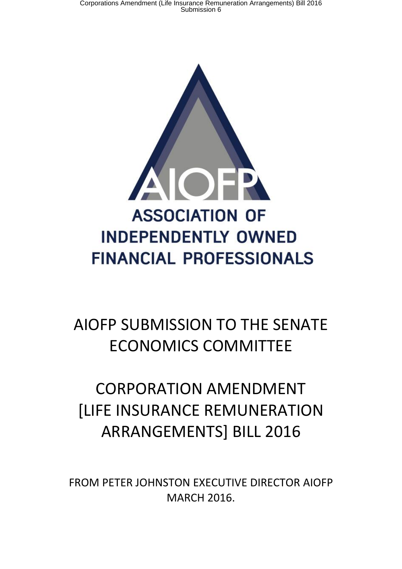

## AIOFP SUBMISSION TO THE SENATE ECONOMICS COMMITTEE

## CORPORATION AMENDMENT [LIFE INSURANCE REMUNERATION ARRANGEMENTS] BILL 2016

FROM PETER JOHNSTON EXECUTIVE DIRECTOR AIOFP MARCH 2016.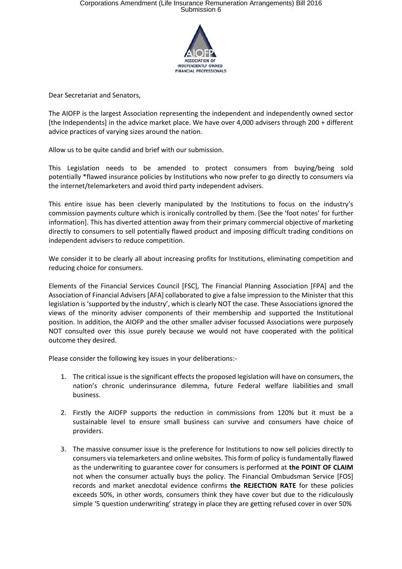

Dear Secretariat and Senators,

The AIOFP is the largest Association representing the independent and independently owned sector [the Independents] in the advice market place. We have over 4,000 advisers through 200 + different advice practices of varying sizes around the nation.

Allow us to be quite candid and brief with our submission.

This Legislation needs to be amended to protect consumers from buying/being sold potentially \*flawed insurance policies by Institutions who now prefer to go directly to consumers via the internet/telemarketers and avoid third party independent advisers.

This entire issue has been cleverly manipulated by the Institutions to focus on the industry's commission payments culture which is ironically controlled by them. [See the 'foot notes' for further information]. This has diverted attention away from their primary commercial objective of marketing directly to consumers to sell potentially flawed product and imposing difficult trading conditions on independent advisers to reduce competition.

We consider it to be clearly all about increasing profits for Institutions, eliminating competition and reducing choice for consumers.

Elements of the Financial Services Council [FSC], The Financial Planning Association [FPA] and the Association of Financial Advisers [AFA] collaborated to give a false impression to the Minister that this legislation is 'supported by the industry', which is clearly NOT the case. These Associations ignored the views of the minority adviser components of their membership and supported the Institutional position. In addition, the AIOFP and the other smaller adviser focussed Associations were purposely NOT consulted over this issue purely because we would not have cooperated with the political outcome they desired.

Please consider the following key issues in your deliberations:-

- 1. The critical issue is the significant effects the proposed legislation will have on consumers, the nation's chronic underinsurance dilemma, future Federal welfare liabilities and small business.
- 2. Firstly the AIOFP supports the reduction in commissions from 120% but it must be a sustainable level to ensure small business can survive and consumers have choice of providers.
- 3. The massive consumer issue is the preference for Institutions to now sell policies directly to consumers via telemarketers and online websites. This form of policy is fundamentally flawed as the underwriting to guarantee cover for consumers is performed at **the POINT OF CLAIM** not when the consumer actually buys the policy. The Financial Ombudsman Service [FOS] records and market anecdotal evidence confirms **the REJECTION RATE** for these policies exceeds 50%, in other words, consumers think they have cover but due to the ridiculously simple '5 question underwriting' strategy in place they are getting refused cover in over 50%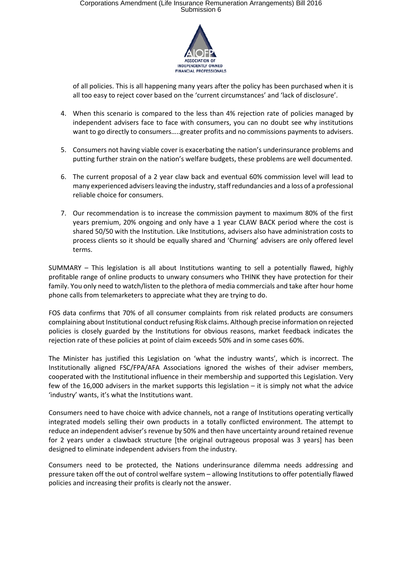## Corporations Amendment (Life Insurance Remuneration Arrangements) Bill 2016<br>Submission 6



of all policies. This is all happening many years after the policy has been purchased when it is all too easy to reject cover based on the 'current circumstances' and 'lack of disclosure'.

- 4. When this scenario is compared to the less than 4% rejection rate of policies managed by independent advisers face to face with consumers, you can no doubt see why institutions want to go directly to consumers…..greater profits and no commissions payments to advisers.
- 5. Consumers not having viable cover is exacerbating the nation's underinsurance problems and putting further strain on the nation's welfare budgets, these problems are well documented.
- 6. The current proposal of a 2 year claw back and eventual 60% commission level will lead to many experienced advisers leaving the industry, staff redundancies and a loss of a professional reliable choice for consumers.
- 7. Our recommendation is to increase the commission payment to maximum 80% of the first years premium, 20% ongoing and only have a 1 year CLAW BACK period where the cost is shared 50/50 with the Institution. Like Institutions, advisers also have administration costs to process clients so it should be equally shared and 'Churning' advisers are only offered level terms.

SUMMARY – This legislation is all about Institutions wanting to sell a potentially flawed, highly profitable range of online products to unwary consumers who THINK they have protection for their family. You only need to watch/listen to the plethora of media commercials and take after hour home phone calls from telemarketers to appreciate what they are trying to do.

FOS data confirms that 70% of all consumer complaints from risk related products are consumers complaining about Institutional conduct refusing Risk claims. Although precise information on rejected policies is closely guarded by the Institutions for obvious reasons, market feedback indicates the rejection rate of these policies at point of claim exceeds 50% and in some cases 60%.

The Minister has justified this Legislation on 'what the industry wants', which is incorrect. The Institutionally aligned FSC/FPA/AFA Associations ignored the wishes of their adviser members, cooperated with the Institutional influence in their membership and supported this Legislation. Very few of the 16,000 advisers in the market supports this legislation – it is simply not what the advice 'industry' wants, it's what the Institutions want.

Consumers need to have choice with advice channels, not a range of Institutions operating vertically integrated models selling their own products in a totally conflicted environment. The attempt to reduce an independent adviser's revenue by 50% and then have uncertainty around retained revenue for 2 years under a clawback structure [the original outrageous proposal was 3 years] has been designed to eliminate independent advisers from the industry.

Consumers need to be protected, the Nations underinsurance dilemma needs addressing and pressure taken off the out of control welfare system – allowing Institutions to offer potentially flawed policies and increasing their profits is clearly not the answer.